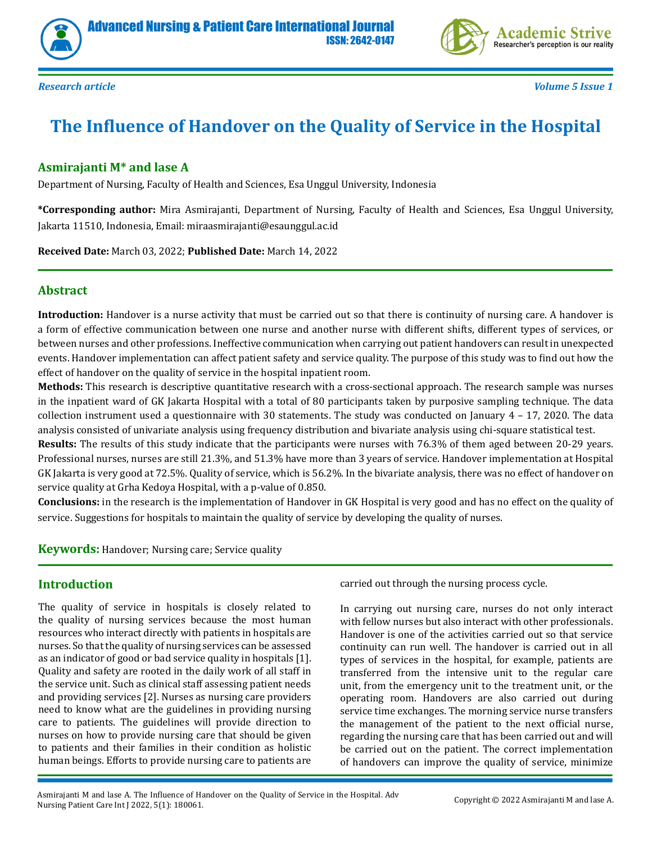



*Research article Volume 5 Issue 1*

# **The Influence of Handover on the Quality of Service in the Hospital**

# **Asmirajanti M\* and lase A**

Department of Nursing, Faculty of Health and Sciences, Esa Unggul University, Indonesia

**\*Corresponding author:** Mira Asmirajanti, Department of Nursing, Faculty of Health and Sciences, Esa Unggul University, Jakarta 11510, Indonesia, Email: miraasmirajanti@esaunggul.ac.id

**Received Date:** March 03, 2022; **Published Date:** March 14, 2022

# **Abstract**

**Introduction:** Handover is a nurse activity that must be carried out so that there is continuity of nursing care. A handover is a form of effective communication between one nurse and another nurse with different shifts, different types of services, or between nurses and other professions. Ineffective communication when carrying out patient handovers can result in unexpected events. Handover implementation can affect patient safety and service quality. The purpose of this study was to find out how the effect of handover on the quality of service in the hospital inpatient room.

**Methods:** This research is descriptive quantitative research with a cross-sectional approach. The research sample was nurses in the inpatient ward of GK Jakarta Hospital with a total of 80 participants taken by purposive sampling technique. The data collection instrument used a questionnaire with 30 statements. The study was conducted on January  $4 - 17$ , 2020. The data analysis consisted of univariate analysis using frequency distribution and bivariate analysis using chi-square statistical test.

**Results:** The results of this study indicate that the participants were nurses with 76.3% of them aged between 20-29 years. Professional nurses, nurses are still 21.3%, and 51.3% have more than 3 years of service. Handover implementation at Hospital GK Jakarta is very good at 72.5%. Quality of service, which is 56.2%. In the bivariate analysis, there was no effect of handover on service quality at Grha Kedoya Hospital, with a p-value of 0.850.

**Conclusions:** in the research is the implementation of Handover in GK Hospital is very good and has no effect on the quality of service. Suggestions for hospitals to maintain the quality of service by developing the quality of nurses.

**Keywords:** Handover; Nursing care; Service quality

# **Introduction**

The quality of service in hospitals is closely related to the quality of nursing services because the most human resources who interact directly with patients in hospitals are nurses. So that the quality of nursing services can be assessed as an indicator of good or bad service quality in hospitals [1]. Quality and safety are rooted in the daily work of all staff in the service unit. Such as clinical staff assessing patient needs and providing services [2]. Nurses as nursing care providers need to know what are the guidelines in providing nursing care to patients. The guidelines will provide direction to nurses on how to provide nursing care that should be given to patients and their families in their condition as holistic human beings. Efforts to provide nursing care to patients are carried out through the nursing process cycle.

In carrying out nursing care, nurses do not only interact with fellow nurses but also interact with other professionals. Handover is one of the activities carried out so that service continuity can run well. The handover is carried out in all types of services in the hospital, for example, patients are transferred from the intensive unit to the regular care unit, from the emergency unit to the treatment unit, or the operating room. Handovers are also carried out during service time exchanges. The morning service nurse transfers the management of the patient to the next official nurse, regarding the nursing care that has been carried out and will be carried out on the patient. The correct implementation of handovers can improve the quality of service, minimize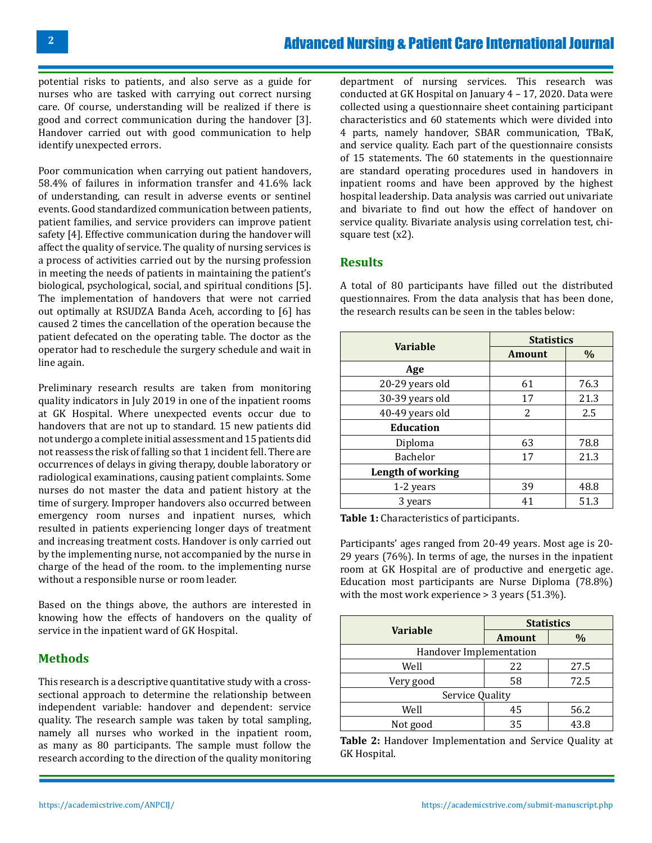potential risks to patients, and also serve as a guide for nurses who are tasked with carrying out correct nursing care. Of course, understanding will be realized if there is good and correct communication during the handover [3]. Handover carried out with good communication to help identify unexpected errors.

Poor communication when carrying out patient handovers, 58.4% of failures in information transfer and 41.6% lack of understanding, can result in adverse events or sentinel events. Good standardized communication between patients, patient families, and service providers can improve patient safety [4]. Effective communication during the handover will affect the quality of service. The quality of nursing services is a process of activities carried out by the nursing profession in meeting the needs of patients in maintaining the patient's biological, psychological, social, and spiritual conditions [5]. The implementation of handovers that were not carried out optimally at RSUDZA Banda Aceh, according to [6] has caused 2 times the cancellation of the operation because the patient defecated on the operating table. The doctor as the operator had to reschedule the surgery schedule and wait in line again.

Preliminary research results are taken from monitoring quality indicators in July 2019 in one of the inpatient rooms at GK Hospital. Where unexpected events occur due to handovers that are not up to standard. 15 new patients did not undergo a complete initial assessment and 15 patients did not reassess the risk of falling so that 1 incident fell. There are occurrences of delays in giving therapy, double laboratory or radiological examinations, causing patient complaints. Some nurses do not master the data and patient history at the time of surgery. Improper handovers also occurred between emergency room nurses and inpatient nurses, which resulted in patients experiencing longer days of treatment and increasing treatment costs. Handover is only carried out by the implementing nurse, not accompanied by the nurse in charge of the head of the room. to the implementing nurse without a responsible nurse or room leader.

Based on the things above, the authors are interested in knowing how the effects of handovers on the quality of service in the inpatient ward of GK Hospital.

# **Methods**

This research is a descriptive quantitative study with a crosssectional approach to determine the relationship between independent variable: handover and dependent: service quality. The research sample was taken by total sampling, namely all nurses who worked in the inpatient room, as many as 80 participants. The sample must follow the research according to the direction of the quality monitoring

department of nursing services. This research was conducted at GK Hospital on January 4 – 17, 2020. Data were collected using a questionnaire sheet containing participant characteristics and 60 statements which were divided into 4 parts, namely handover, SBAR communication, TBaK, and service quality. Each part of the questionnaire consists of 15 statements. The 60 statements in the questionnaire are standard operating procedures used in handovers in inpatient rooms and have been approved by the highest hospital leadership. Data analysis was carried out univariate and bivariate to find out how the effect of handover on service quality. Bivariate analysis using correlation test, chisquare test (x2).

#### **Results**

A total of 80 participants have filled out the distributed questionnaires. From the data analysis that has been done, the research results can be seen in the tables below:

|                   | <b>Statistics</b> |      |  |
|-------------------|-------------------|------|--|
| <b>Variable</b>   | <b>Amount</b>     | $\%$ |  |
| Age               |                   |      |  |
| 20-29 years old   | 61                | 76.3 |  |
| 30-39 years old   | 17                | 21.3 |  |
| 40-49 years old   | 2                 | 2.5  |  |
| <b>Education</b>  |                   |      |  |
| Diploma           | 63                | 78.8 |  |
| <b>Bachelor</b>   | 17                | 21.3 |  |
| Length of working |                   |      |  |
| 1-2 years         | 39                | 48.8 |  |
| 3 years           | 41                | 51.3 |  |

**Table 1:** Characteristics of participants.

Participants' ages ranged from 20-49 years. Most age is 20- 29 years (76%). In terms of age, the nurses in the inpatient room at GK Hospital are of productive and energetic age. Education most participants are Nurse Diploma (78.8%) with the most work experience > 3 years (51.3%).

| <b>Variable</b>         | <b>Statistics</b> |      |  |  |  |
|-------------------------|-------------------|------|--|--|--|
|                         | <b>Amount</b>     | $\%$ |  |  |  |
| Handover Implementation |                   |      |  |  |  |
| Well                    | 22                | 27.5 |  |  |  |
| Very good               | 58                | 72.5 |  |  |  |
| Service Quality         |                   |      |  |  |  |
| Well                    | 45                | 56.2 |  |  |  |
| Not good                | 35                | 43.8 |  |  |  |

**Table 2:** Handover Implementation and Service Quality at GK Hospital.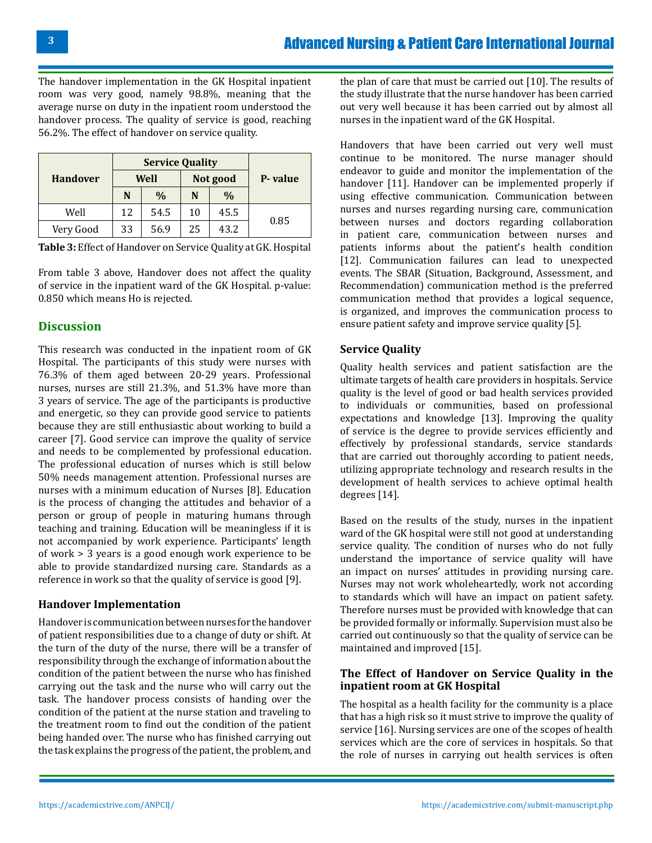The handover implementation in the GK Hospital inpatient room was very good, namely 98.8%, meaning that the average nurse on duty in the inpatient room understood the handover process. The quality of service is good, reaching 56.2%. The effect of handover on service quality.

|                 | <b>Service Quality</b> |               |          |               |         |
|-----------------|------------------------|---------------|----------|---------------|---------|
| <b>Handover</b> | Well                   |               | Not good |               | P-value |
|                 | N                      | $\frac{0}{0}$ | N        | $\frac{0}{0}$ |         |
| Well            | 12                     | 54.5          | 10       | 45.5          | 0.85    |
| Very Good       | 33                     | 56.9          | 25       | 43.2          |         |

**Table 3:** Effect of Handover on Service Quality at GK. Hospital

From table 3 above, Handover does not affect the quality of service in the inpatient ward of the GK Hospital. p-value: 0.850 which means Ho is rejected.

# **Discussion**

This research was conducted in the inpatient room of GK Hospital. The participants of this study were nurses with 76.3% of them aged between 20-29 years. Professional nurses, nurses are still 21.3%, and 51.3% have more than 3 years of service. The age of the participants is productive and energetic, so they can provide good service to patients because they are still enthusiastic about working to build a career [7]. Good service can improve the quality of service and needs to be complemented by professional education. The professional education of nurses which is still below 50% needs management attention. Professional nurses are nurses with a minimum education of Nurses [8]. Education is the process of changing the attitudes and behavior of a person or group of people in maturing humans through teaching and training. Education will be meaningless if it is not accompanied by work experience. Participants' length of work > 3 years is a good enough work experience to be able to provide standardized nursing care. Standards as a reference in work so that the quality of service is good [9].

#### **Handover Implementation**

Handover is communication between nurses for the handover of patient responsibilities due to a change of duty or shift. At the turn of the duty of the nurse, there will be a transfer of responsibility through the exchange of information about the condition of the patient between the nurse who has finished carrying out the task and the nurse who will carry out the task. The handover process consists of handing over the condition of the patient at the nurse station and traveling to the treatment room to find out the condition of the patient being handed over. The nurse who has finished carrying out the task explains the progress of the patient, the problem, and

the plan of care that must be carried out [10]. The results of the study illustrate that the nurse handover has been carried out very well because it has been carried out by almost all nurses in the inpatient ward of the GK Hospital.

Handovers that have been carried out very well must continue to be monitored. The nurse manager should endeavor to guide and monitor the implementation of the handover [11]. Handover can be implemented properly if using effective communication. Communication between nurses and nurses regarding nursing care, communication between nurses and doctors regarding collaboration in patient care, communication between nurses and patients informs about the patient's health condition [12]. Communication failures can lead to unexpected events. The SBAR (Situation, Background, Assessment, and Recommendation) communication method is the preferred communication method that provides a logical sequence, is organized, and improves the communication process to ensure patient safety and improve service quality [5].

# **Service Quality**

Quality health services and patient satisfaction are the ultimate targets of health care providers in hospitals. Service quality is the level of good or bad health services provided to individuals or communities, based on professional expectations and knowledge [13]. Improving the quality of service is the degree to provide services efficiently and effectively by professional standards, service standards that are carried out thoroughly according to patient needs, utilizing appropriate technology and research results in the development of health services to achieve optimal health degrees [14].

Based on the results of the study, nurses in the inpatient ward of the GK hospital were still not good at understanding service quality. The condition of nurses who do not fully understand the importance of service quality will have an impact on nurses' attitudes in providing nursing care. Nurses may not work wholeheartedly, work not according to standards which will have an impact on patient safety. Therefore nurses must be provided with knowledge that can be provided formally or informally. Supervision must also be carried out continuously so that the quality of service can be maintained and improved [15].

#### **The Effect of Handover on Service Quality in the inpatient room at GK Hospital**

The hospital as a health facility for the community is a place that has a high risk so it must strive to improve the quality of service [16]. Nursing services are one of the scopes of health services which are the core of services in hospitals. So that the role of nurses in carrying out health services is often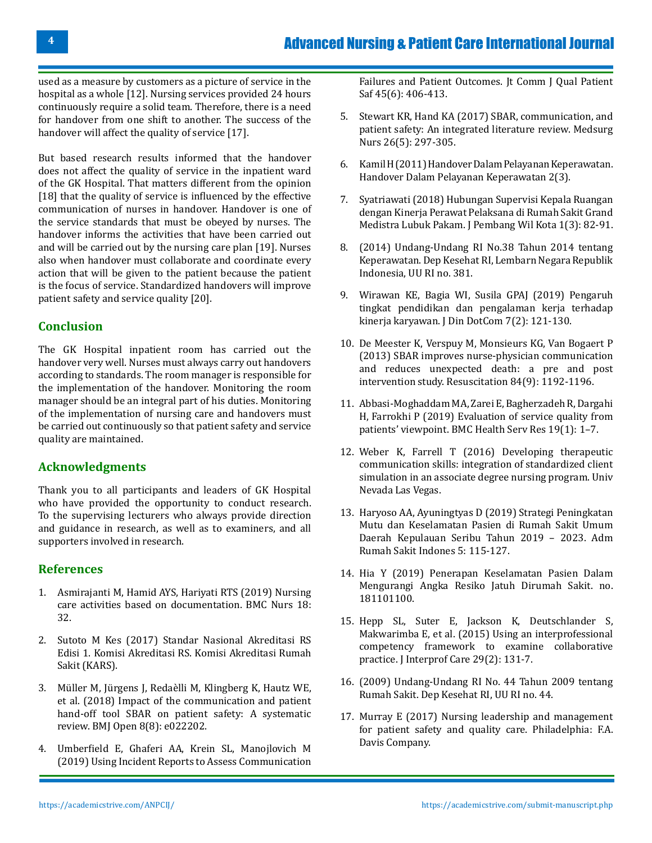used as a measure by customers as a picture of service in the hospital as a whole [12]. Nursing services provided 24 hours continuously require a solid team. Therefore, there is a need for handover from one shift to another. The success of the handover will affect the quality of service [17].

But based research results informed that the handover does not affect the quality of service in the inpatient ward of the GK Hospital. That matters different from the opinion [18] that the quality of service is influenced by the effective communication of nurses in handover. Handover is one of the service standards that must be obeyed by nurses. The handover informs the activities that have been carried out and will be carried out by the nursing care plan [19]. Nurses also when handover must collaborate and coordinate every action that will be given to the patient because the patient is the focus of service. Standardized handovers will improve patient safety and service quality [20].

# **Conclusion**

The GK Hospital inpatient room has carried out the handover very well. Nurses must always carry out handovers according to standards. The room manager is responsible for the implementation of the handover. Monitoring the room manager should be an integral part of his duties. Monitoring of the implementation of nursing care and handovers must be carried out continuously so that patient safety and service quality are maintained.

# **Acknowledgments**

Thank you to all participants and leaders of GK Hospital who have provided the opportunity to conduct research. To the supervising lecturers who always provide direction and guidance in research, as well as to examiners, and all supporters involved in research.

#### **References**

- 1. [Asmirajanti M, Hamid AYS, Hariyati RTS \(2019\) Nursing](https://bmcnurs.biomedcentral.com/articles/10.1186/s12912-019-0352-0) [care activities based on documentation. BMC Nurs 18:](https://bmcnurs.biomedcentral.com/articles/10.1186/s12912-019-0352-0) [32.](https://bmcnurs.biomedcentral.com/articles/10.1186/s12912-019-0352-0)
- 2. [Sutoto M Kes \(2017\) Standar Nasional Akreditasi RS](https://persi.or.id/wp-content/uploads/2018/08/p9-snars-edisi1.pdf) [Edisi 1. Komisi Akreditasi RS. Komisi Akreditasi Rumah](https://persi.or.id/wp-content/uploads/2018/08/p9-snars-edisi1.pdf) [Sakit \(KARS\).](https://persi.or.id/wp-content/uploads/2018/08/p9-snars-edisi1.pdf)
- 3. [Müller M, Jürgens J, Redaèlli M, Klingberg K, Hautz WE,](https://pubmed.ncbi.nlm.nih.gov/30139905/) [et al. \(2018\) Impact of the communication and patient](https://pubmed.ncbi.nlm.nih.gov/30139905/) [hand-off tool SBAR on patient safety: A systematic](https://pubmed.ncbi.nlm.nih.gov/30139905/) [review. BMJ Open 8\(8\): e022202.](https://pubmed.ncbi.nlm.nih.gov/30139905/)
- 4. [Umberfield E, Ghaferi AA, Krein SL, Manojlovich M](https://pubmed.ncbi.nlm.nih.gov/30935883/) [\(2019\) Using Incident Reports to Assess Communication](https://pubmed.ncbi.nlm.nih.gov/30935883/)

[Failures and Patient Outcomes. Jt Comm J Qual Patient](https://pubmed.ncbi.nlm.nih.gov/30935883/)  [Saf 45\(6\): 406-413.](https://pubmed.ncbi.nlm.nih.gov/30935883/)

- 5. [Stewart KR, Hand KA \(2017\) SBAR, communication, and](https://go.gale.com/ps/i.do?p=AONE&u=googlescholar&id=GALE|A514512708&v=2.1&it=r&sid=AONE&asid=fd24efde)  [patient safety: An integrated literature review. Medsurg](https://go.gale.com/ps/i.do?p=AONE&u=googlescholar&id=GALE|A514512708&v=2.1&it=r&sid=AONE&asid=fd24efde) [Nurs 26\(5\): 297-305.](https://go.gale.com/ps/i.do?p=AONE&u=googlescholar&id=GALE|A514512708&v=2.1&it=r&sid=AONE&asid=fd24efde)
- 6. [Kamil H \(2011\) Handover Dalam Pelayanan Keperawatan.](http://www.jurnal.unsyiah.ac.id/INJ/article/view/6491.%20Tanggal%2002%20Agustus%202017)  [Handover Dalam Pelayanan Keperawatan 2\(3\).](http://www.jurnal.unsyiah.ac.id/INJ/article/view/6491.%20Tanggal%2002%20Agustus%202017)
- 7. [Syatriawati \(2018\) Hubungan Supervisi Kepala Ruangan](https://repositori.usu.ac.id/handle/123456789/12306)  [dengan Kinerja Perawat Pelaksana di Rumah Sakit Grand](https://repositori.usu.ac.id/handle/123456789/12306)  [Medistra Lubuk Pakam. J Pembang Wil Kota 1\(3\): 82-91.](https://repositori.usu.ac.id/handle/123456789/12306)
- 8. [\(2014\) Undang-Undang RI No.38 Tahun 2014 tentang](https://peraturan.go.id/common/dokumen/ln/2014/uu38-2014bt.pdf)  [Keperawatan. Dep Kesehat RI, Lembarn Negara Republik](https://peraturan.go.id/common/dokumen/ln/2014/uu38-2014bt.pdf)  [Indonesia, UU RI no. 381.](https://peraturan.go.id/common/dokumen/ln/2014/uu38-2014bt.pdf)
- 9. [Wirawan KE, Bagia WI, Susila GPAJ \(2019\) Pengaruh](https://ejournal.undiksha.ac.id/index.php/BISMA-JM/article/view/21991) [tingkat pendidikan dan pengalaman kerja terhadap](https://ejournal.undiksha.ac.id/index.php/BISMA-JM/article/view/21991)  [kinerja karyawan. J Din DotCom 7\(2\): 121-130.](https://ejournal.undiksha.ac.id/index.php/BISMA-JM/article/view/21991)
- 10. [De Meester K, Verspuy M, Monsieurs KG, Van Bogaert P](https://pubmed.ncbi.nlm.nih.gov/23537699/)  [\(2013\) SBAR improves nurse-physician communication](https://pubmed.ncbi.nlm.nih.gov/23537699/) [and reduces unexpected death: a pre and post](https://pubmed.ncbi.nlm.nih.gov/23537699/)  [intervention study. Resuscitation 84\(9\): 1192-1196.](https://pubmed.ncbi.nlm.nih.gov/23537699/)
- 11. [Abbasi-Moghaddam MA, Zarei E, Bagherzadeh R, Dargahi](https://bmchealthservres.biomedcentral.com/articles/10.1186/s12913-019-3998-0) [H, Farrokhi P \(2019\) Evaluation of service quality from](https://bmchealthservres.biomedcentral.com/articles/10.1186/s12913-019-3998-0) [patients' viewpoint. BMC Health Serv Res 19\(1\): 1–7.](https://bmchealthservres.biomedcentral.com/articles/10.1186/s12913-019-3998-0)
- 12. [Weber K, Farrell T \(2016\) Developing therapeutic](https://digitalscholarship.unlv.edu/thesesdissertations/2833/)  [communication skills: integration of standardized client](https://digitalscholarship.unlv.edu/thesesdissertations/2833/)  [simulation in an associate degree nursing program. Univ](https://digitalscholarship.unlv.edu/thesesdissertations/2833/) [Nevada Las Vegas.](https://digitalscholarship.unlv.edu/thesesdissertations/2833/)
- 13. [Haryoso AA, Ayuningtyas D \(2019\) Strategi Peningkatan](https://journal.fkm.ui.ac.id/arsi/article/view/3194)  [Mutu dan Keselamatan Pasien di Rumah Sakit Umum](https://journal.fkm.ui.ac.id/arsi/article/view/3194)  [Daerah Kepulauan Seribu Tahun 2019 – 2023. Adm](https://journal.fkm.ui.ac.id/arsi/article/view/3194)  [Rumah Sakit Indones 5: 115-127.](https://journal.fkm.ui.ac.id/arsi/article/view/3194)
- 14. Hia Y (2019) Penerapan Keselamatan Pasien Dalam Mengurangi Angka Resiko Jatuh Dirumah Sakit. no. 181101100.
- 15. [Hepp SL, Suter E, Jackson K, Deutschlander S,](https://pubmed.ncbi.nlm.nih.gov/25208088/)  [Makwarimba E, et al. \(2015\) Using an interprofessional](https://pubmed.ncbi.nlm.nih.gov/25208088/)  [competency framework to examine collaborative](https://pubmed.ncbi.nlm.nih.gov/25208088/) [practice. J Interprof Care 29\(2\): 131-7.](https://pubmed.ncbi.nlm.nih.gov/25208088/)
- 16. [\(2009\) Undang-Undang RI No. 44 Tahun 2009 tentang](https://www.komisiinformasi.go.id/uploads/documents/UU_44_Tahun_2009.pdf)  [Rumah Sakit. Dep Kesehat RI, UU RI no. 44.](https://www.komisiinformasi.go.id/uploads/documents/UU_44_Tahun_2009.pdf)
- 17. [Murray E \(2017\) Nursing leadership and management](https://www.fadavis.com/product/nursing-leadership-management-patient-safety-quality-care-murray)  [for patient safety and quality care. Philadelphia: F.A.](https://www.fadavis.com/product/nursing-leadership-management-patient-safety-quality-care-murray)  [Davis Company.](https://www.fadavis.com/product/nursing-leadership-management-patient-safety-quality-care-murray)